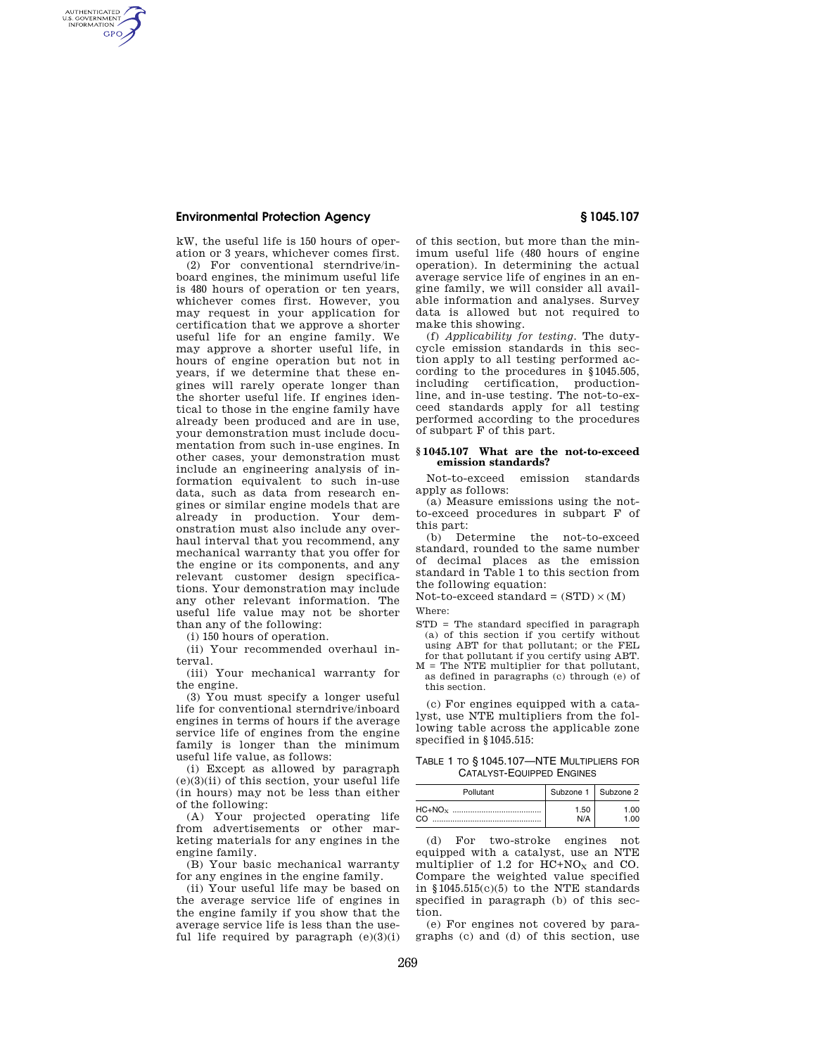# **Environmental Protection Agency § 1045.107**

AUTHENTICATED<br>U.S. GOVERNMENT<br>INFORMATION **GPO** 

> kW, the useful life is 150 hours of operation or 3 years, whichever comes first.

(2) For conventional sterndrive/inboard engines, the minimum useful life is 480 hours of operation or ten years, whichever comes first. However, you may request in your application for certification that we approve a shorter useful life for an engine family. We may approve a shorter useful life, in hours of engine operation but not in years, if we determine that these engines will rarely operate longer than the shorter useful life. If engines identical to those in the engine family have already been produced and are in use, your demonstration must include documentation from such in-use engines. In other cases, your demonstration must include an engineering analysis of information equivalent to such in-use data, such as data from research engines or similar engine models that are already in production. Your demonstration must also include any overhaul interval that you recommend, any mechanical warranty that you offer for the engine or its components, and any relevant customer design specifications. Your demonstration may include any other relevant information. The useful life value may not be shorter than any of the following:

(i) 150 hours of operation.

(ii) Your recommended overhaul interval.

(iii) Your mechanical warranty for the engine.

(3) You must specify a longer useful life for conventional sterndrive/inboard engines in terms of hours if the average service life of engines from the engine family is longer than the minimum useful life value, as follows:

(i) Except as allowed by paragraph (e)(3)(ii) of this section, your useful life (in hours) may not be less than either of the following:

(A) Your projected operating life from advertisements or other marketing materials for any engines in the engine family.

(B) Your basic mechanical warranty for any engines in the engine family.

(ii) Your useful life may be based on the average service life of engines in the engine family if you show that the average service life is less than the useful life required by paragraph  $(e)(3)(i)$ 

of this section, but more than the minimum useful life (480 hours of engine operation). In determining the actual average service life of engines in an engine family, we will consider all available information and analyses. Survey data is allowed but not required to make this showing.

(f) *Applicability for testing.* The dutycycle emission standards in this section apply to all testing performed according to the procedures in §1045.505, including certification, productionline, and in-use testing. The not-to-exceed standards apply for all testing performed according to the procedures of subpart F of this part.

# **§ 1045.107 What are the not-to-exceed emission standards?**

Not-to-exceed emission standards apply as follows:

(a) Measure emissions using the notto-exceed procedures in subpart F of this part:

(b) Determine the not-to-exceed standard, rounded to the same number of decimal places as the emission standard in Table 1 to this section from the following equation:

Not-to-exceed standard =  $(STD) \times (M)$ Where:

- STD = The standard specified in paragraph (a) of this section if you certify without using ABT for that pollutant; or the FEL for that pollutant if you certify using ABT.
- M = The NTE multiplier for that pollutant, as defined in paragraphs (c) through (e) of this section.

(c) For engines equipped with a catalyst, use NTE multipliers from the following table across the applicable zone specified in §1045.515:

TABLE 1 TO § 1045.107—NTE MULTIPLIERS FOR CATALYST-EQUIPPED ENGINES

| Pollutant |      | Subzone 1   Subzone 2 |
|-----------|------|-----------------------|
|           | 1.50 | 1.00                  |
|           | NI/∆ | ററ                    |

(d) For two-stroke engines not equipped with a catalyst, use an NTE multiplier of 1.2 for  $HC+NO<sub>X</sub>$  and CO. Compare the weighted value specified in §1045.515(c)(5) to the NTE standards specified in paragraph (b) of this section.

(e) For engines not covered by paragraphs (c) and (d) of this section, use